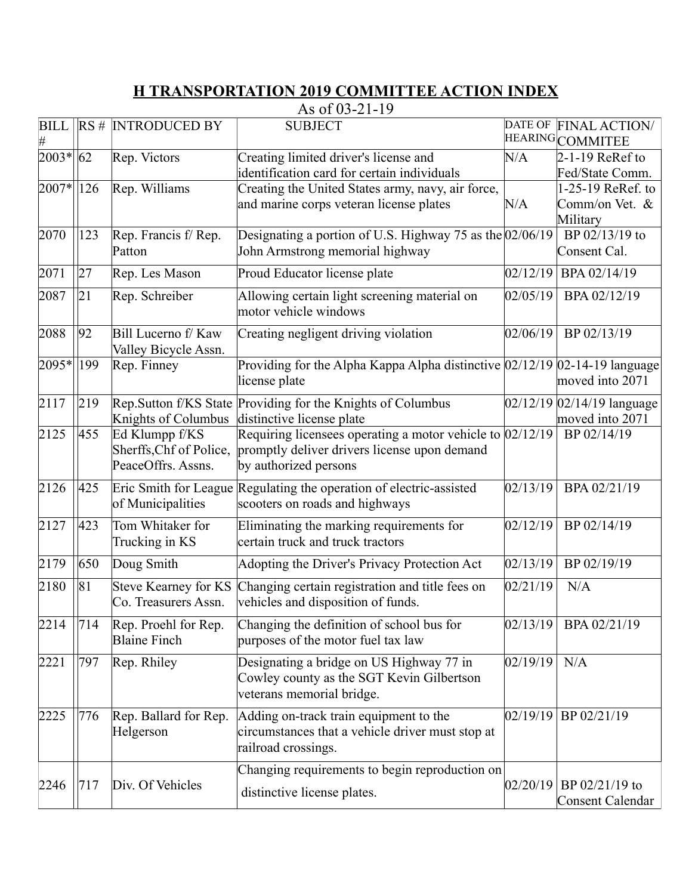## **H TRANSPORTATION 2019 COMMITTEE ACTION INDEX**

As of 03-21-19

| <b>BILL</b>         |     | $RS #$ INTRODUCED BY                                            | <b>SUBJECT</b>                                                                                                                       |          | DATE OF FINAL ACTION/<br>HEARING COMMITEE         |
|---------------------|-----|-----------------------------------------------------------------|--------------------------------------------------------------------------------------------------------------------------------------|----------|---------------------------------------------------|
| 2003*               | 62  | Rep. Victors                                                    | Creating limited driver's license and                                                                                                | N/A      | $2-1-19$ ReRef to                                 |
|                     |     |                                                                 | identification card for certain individuals                                                                                          |          | Fed/State Comm.                                   |
| 2007*               | 126 | Rep. Williams                                                   | Creating the United States army, navy, air force,                                                                                    |          | 1-25-19 ReRef. to                                 |
|                     |     |                                                                 | and marine corps veteran license plates                                                                                              | N/A      | Comm/on Vet. &<br>Military                        |
| 2070                | 123 | Rep. Francis f/Rep.<br>Patton                                   | Designating a portion of U.S. Highway 75 as the $02/06/19$<br>John Armstrong memorial highway                                        |          | BP 02/13/19 to<br>Consent Cal.                    |
| 2071                | 27  | Rep. Les Mason                                                  | Proud Educator license plate                                                                                                         | 02/12/19 | BPA 02/14/19                                      |
| 2087                | 21  | Rep. Schreiber                                                  | Allowing certain light screening material on<br>motor vehicle windows                                                                | 02/05/19 | BPA 02/12/19                                      |
| 2088                | 92  | Bill Lucerno f/ Kaw<br>Valley Bicycle Assn.                     | Creating negligent driving violation                                                                                                 | 02/06/19 | BP 02/13/19                                       |
| 2095*               | 199 | Rep. Finney                                                     | Providing for the Alpha Kappa Alpha distinctive $02/12/19$ $02-14-19$ language<br>license plate                                      |          | moved into 2071                                   |
| 2117                | 219 | Knights of Columbus                                             | Rep.Sutton f/KS State Providing for the Knights of Columbus<br>distinctive license plate                                             |          | $02/12/19$ $02/14/19$ language<br>moved into 2071 |
| 2125                | 455 | Ed Klumpp f/KS<br>Sherffs, Chf of Police,<br>PeaceOffrs. Assns. | Requiring licensees operating a motor vehicle to $02/12/19$<br>promptly deliver drivers license upon demand<br>by authorized persons |          | BP 02/14/19                                       |
| 2126                | 425 | of Municipalities                                               | Eric Smith for League Regulating the operation of electric-assisted<br>scooters on roads and highways                                | 02/13/19 | BPA 02/21/19                                      |
| 2127                | 423 | Tom Whitaker for<br>Trucking in KS                              | Eliminating the marking requirements for<br>certain truck and truck tractors                                                         | 02/12/19 | BP 02/14/19                                       |
| 2179                | 650 | Doug Smith                                                      | Adopting the Driver's Privacy Protection Act                                                                                         | 02/13/19 | BP 02/19/19                                       |
| 2180                | 81  | Co. Treasurers Assn.                                            | Steve Kearney for KS Changing certain registration and title fees on<br>vehicles and disposition of funds.                           | 02/21/19 | N/A                                               |
| $\sqrt{2214}$   714 |     | Rep. Proehl for Rep.<br><b>Blaine Finch</b>                     | Changing the definition of school bus for<br>purposes of the motor fuel tax law                                                      |          | $ 02/13/19 $ BPA $ 02/21/19 $                     |
| 2221                | 797 | Rep. Rhiley                                                     | Designating a bridge on US Highway 77 in<br>Cowley county as the SGT Kevin Gilbertson<br>veterans memorial bridge.                   | 02/19/19 | N/A                                               |
| 2225                | 776 | Rep. Ballard for Rep.<br>Helgerson                              | Adding on-track train equipment to the<br>circumstances that a vehicle driver must stop at<br>railroad crossings.                    | 02/19/19 | BP 02/21/19                                       |
|                     |     |                                                                 | Changing requirements to begin reproduction on                                                                                       |          |                                                   |
| 2246                | 717 | Div. Of Vehicles                                                | distinctive license plates.                                                                                                          | 02/20/19 | BP 02/21/19 to<br>Consent Calendar                |